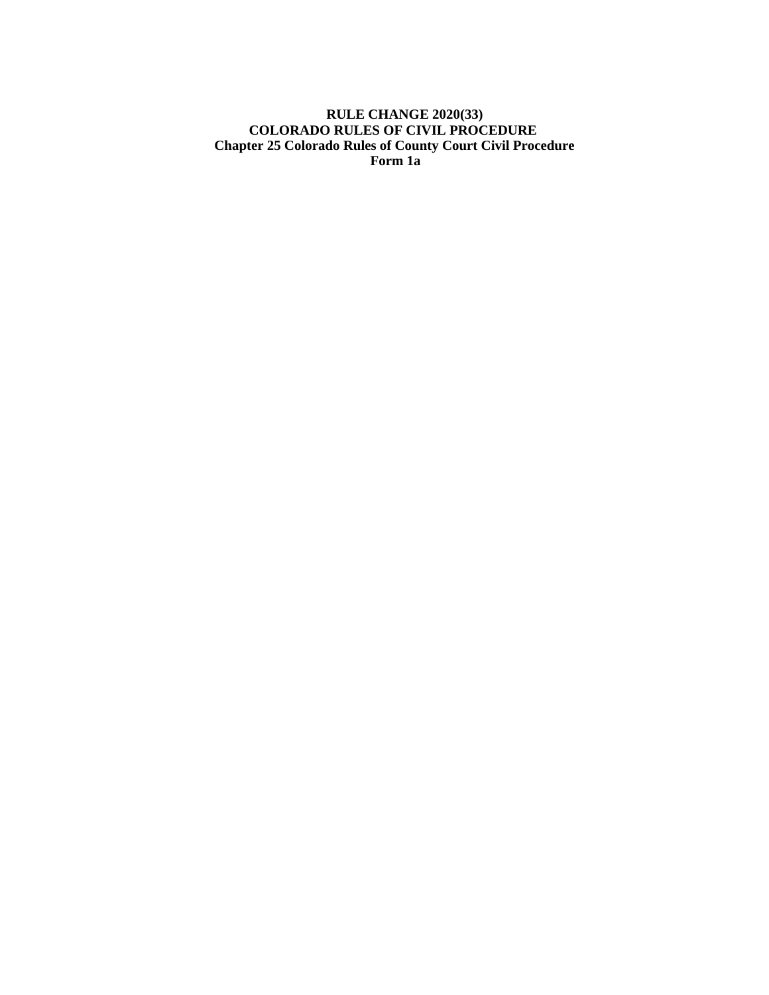# **RULE CHANGE 2020(33) COLORADO RULES OF CIVIL PROCEDURE Chapter 25 Colorado Rules of County Court Civil Procedure Form 1a**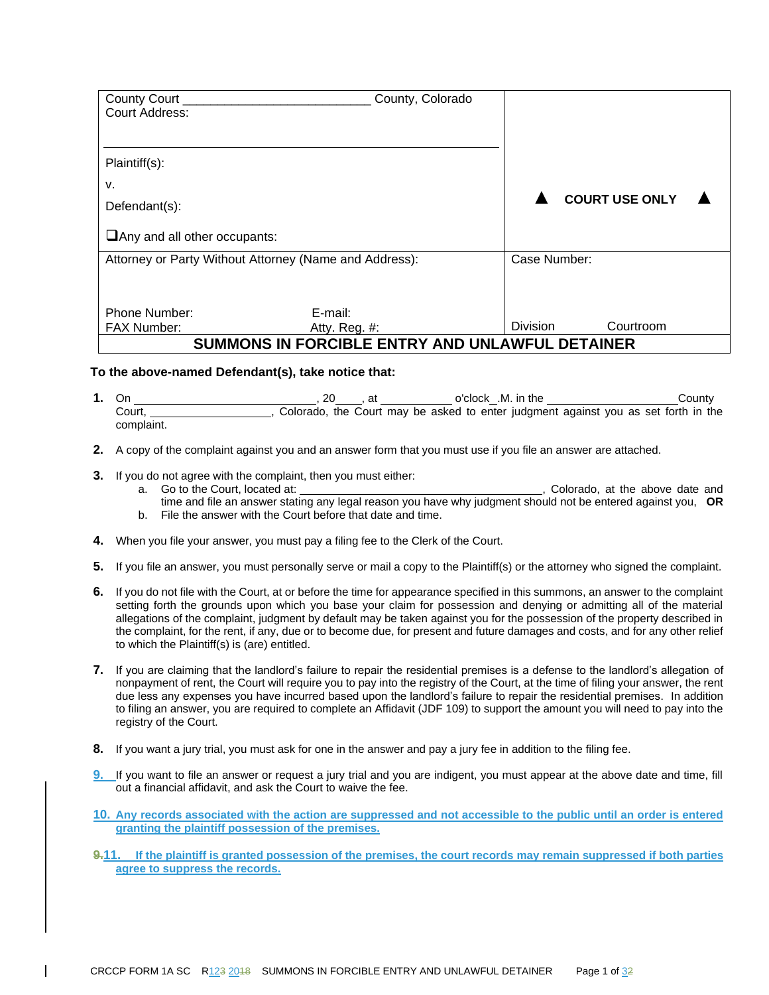| County Court                                           | County, Colorado                                       |              |  |                       |  |
|--------------------------------------------------------|--------------------------------------------------------|--------------|--|-----------------------|--|
| Court Address:                                         |                                                        |              |  |                       |  |
|                                                        |                                                        |              |  |                       |  |
| Plaintiff(s):                                          |                                                        |              |  |                       |  |
| v.                                                     |                                                        |              |  |                       |  |
| Defendant(s):                                          |                                                        |              |  | <b>COURT USE ONLY</b> |  |
| $\Box$ Any and all other occupants:                    |                                                        |              |  |                       |  |
| Attorney or Party Without Attorney (Name and Address): |                                                        | Case Number: |  |                       |  |
|                                                        |                                                        |              |  |                       |  |
| <b>Phone Number:</b>                                   | E-mail:                                                |              |  |                       |  |
| <b>FAX Number:</b>                                     | Atty. Reg. $#$ :                                       | Division     |  | Courtroom             |  |
|                                                        | <b>SUMMONS IN FORCIBLE ENTRY AND UNLAWFUL DETAINER</b> |              |  |                       |  |

#### **To the above-named Defendant(s), take notice that:**

- **1.** On , 20 , at o'clock .M. in the County Court, Scolorado, the Court may be asked to enter judgment against you as set forth in the complaint.
- **2.** A copy of the complaint against you and an answer form that you must use if you file an answer are attached.
- **3.** If you do not agree with the complaint, then you must either:<br>a. Go to the Court, located at:
	- ..., Colorado, at the above date and time and file an answer stating any legal reason you have why judgment should not be entered against you, **OR**
		- b. File the answer with the Court before that date and time.
- **4.** When you file your answer, you must pay a filing fee to the Clerk of the Court.
- **5.** If you file an answer, you must personally serve or mail a copy to the Plaintiff(s) or the attorney who signed the complaint.
- **6.** If you do not file with the Court, at or before the time for appearance specified in this summons, an answer to the complaint setting forth the grounds upon which you base your claim for possession and denying or admitting all of the material allegations of the complaint, judgment by default may be taken against you for the possession of the property described in the complaint, for the rent, if any, due or to become due, for present and future damages and costs, and for any other relief to which the Plaintiff(s) is (are) entitled.
- **7.** If you are claiming that the landlord's failure to repair the residential premises is a defense to the landlord's allegation of nonpayment of rent, the Court will require you to pay into the registry of the Court, at the time of filing your answer, the rent due less any expenses you have incurred based upon the landlord's failure to repair the residential premises. In addition to filing an answer, you are required to complete an Affidavit (JDF 109) to support the amount you will need to pay into the registry of the Court.
- **8.** If you want a jury trial, you must ask for one in the answer and pay a jury fee in addition to the filing fee.
- **9.** If you want to file an answer or request a jury trial and you are indigent, you must appear at the above date and time, fill out a financial affidavit, and ask the Court to waive the fee.
- **10. Any records associated with the action are suppressed and not accessible to the public until an order is entered granting the plaintiff possession of the premises.**
- **9.11. If the plaintiff is granted possession of the premises, the court records may remain suppressed if both parties agree to suppress the records.**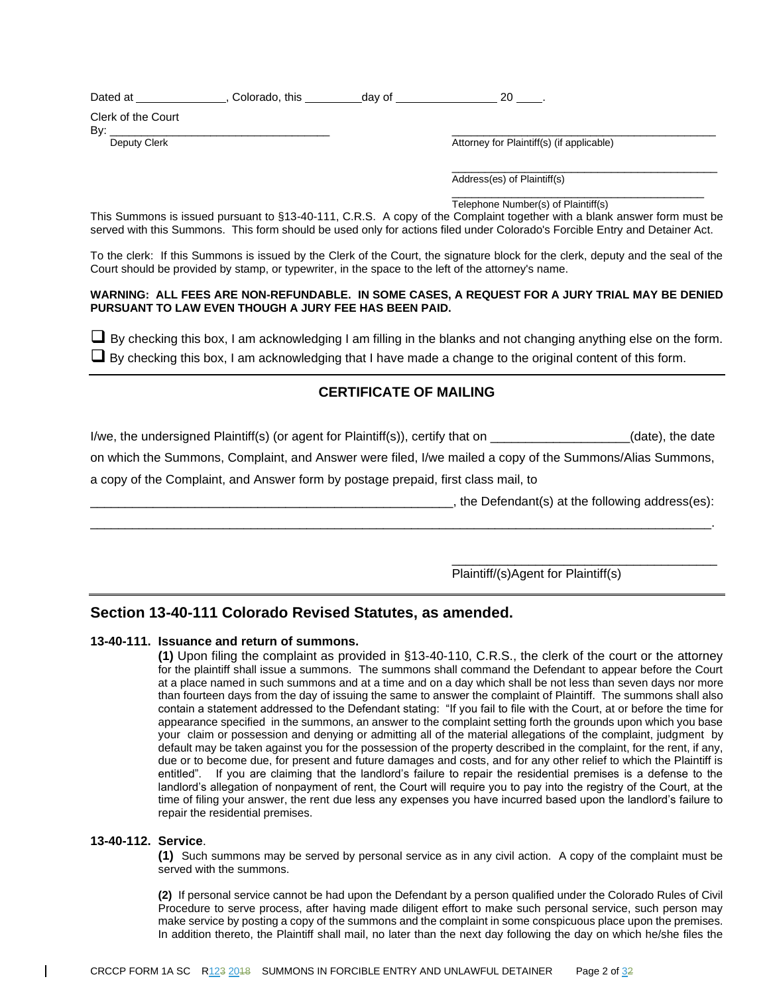| Dated at | Colorado, this | dav of |  |  |  |
|----------|----------------|--------|--|--|--|
|----------|----------------|--------|--|--|--|

Clerk of the Court

By: \_\_\_\_\_\_\_\_\_\_\_\_\_\_\_\_\_\_\_\_\_\_\_\_\_\_\_\_\_\_\_\_\_\_\_ \_\_\_\_\_\_\_\_\_\_\_\_\_\_\_\_\_\_\_\_\_\_\_\_\_\_\_\_\_\_\_\_\_\_\_\_\_\_\_\_\_\_

Deputy Clerk **Deputy Clerk** Attorney for Plaintiff(s) (if applicable)

\_\_\_\_\_\_\_\_\_\_\_\_\_\_\_\_\_\_\_\_\_\_\_\_\_\_\_\_\_\_\_\_\_\_\_\_\_\_\_\_ Address(es) of Plaintiff(s)

\_\_\_\_\_\_\_\_\_\_\_\_\_\_\_\_\_\_\_\_\_\_\_\_\_\_\_\_\_\_\_\_\_\_\_\_\_\_ Telephone Number(s) of Plaintiff(s)

This Summons is issued pursuant to §13-40-111, C.R.S. A copy of the Complaint together with a blank answer form must be served with this Summons. This form should be used only for actions filed under Colorado's Forcible Entry and Detainer Act.

To the clerk: If this Summons is issued by the Clerk of the Court, the signature block for the clerk, deputy and the seal of the Court should be provided by stamp, or typewriter, in the space to the left of the attorney's name.

#### **WARNING: ALL FEES ARE NON-REFUNDABLE. IN SOME CASES, A REQUEST FOR A JURY TRIAL MAY BE DENIED PURSUANT TO LAW EVEN THOUGH A JURY FEE HAS BEEN PAID.**

 $\Box$  By checking this box, I am acknowledging I am filling in the blanks and not changing anything else on the form.  $\Box$  By checking this box, I am acknowledging that I have made a change to the original content of this form.

# **CERTIFICATE OF MAILING**

I/we, the undersigned Plaintiff(s) (or agent for Plaintiff(s)), certify that on \_\_\_\_\_\_\_\_\_\_\_\_\_\_\_\_\_\_\_\_(date), the date

on which the Summons, Complaint, and Answer were filed, I/we mailed a copy of the Summons/Alias Summons,

\_\_\_\_\_\_\_\_\_\_\_\_\_\_\_\_\_\_\_\_\_\_\_\_\_\_\_\_\_\_\_\_\_\_\_\_\_\_\_\_\_\_\_\_\_\_\_\_\_\_\_\_\_\_\_\_\_\_\_\_\_\_\_\_\_\_\_\_\_\_\_\_\_\_\_\_\_\_\_\_\_\_\_\_\_\_\_\_\_.

a copy of the Complaint, and Answer form by postage prepaid, first class mail, to

 $\Box$ , the Defendant(s) at the following address(es):

\_\_\_\_\_\_\_\_\_\_\_\_\_\_\_\_\_\_\_\_\_\_\_\_\_\_\_\_\_\_\_\_\_\_\_\_\_\_

Plaintiff/(s)Agent for Plaintiff(s)

# **Section 13-40-111 Colorado Revised Statutes, as amended.**

## **13-40-111. Issuance and return of summons.**

**(1)** Upon filing the complaint as provided in §13-40-110, C.R.S., the clerk of the court or the attorney for the plaintiff shall issue a summons. The summons shall command the Defendant to appear before the Court at a place named in such summons and at a time and on a day which shall be not less than seven days nor more than fourteen days from the day of issuing the same to answer the complaint of Plaintiff. The summons shall also contain a statement addressed to the Defendant stating: "If you fail to file with the Court, at or before the time for appearance specified in the summons, an answer to the complaint setting forth the grounds upon which you base your claim or possession and denying or admitting all of the material allegations of the complaint, judgment by default may be taken against you for the possession of the property described in the complaint, for the rent, if any, due or to become due, for present and future damages and costs, and for any other relief to which the Plaintiff is entitled". If you are claiming that the landlord's failure to repair the residential premises is a defense to the landlord's allegation of nonpayment of rent, the Court will require you to pay into the registry of the Court, at the time of filing your answer, the rent due less any expenses you have incurred based upon the landlord's failure to repair the residential premises.

## **13-40-112. Service**.

**(1)** Such summons may be served by personal service as in any civil action. A copy of the complaint must be served with the summons.

**(2)** If personal service cannot be had upon the Defendant by a person qualified under the Colorado Rules of Civil Procedure to serve process, after having made diligent effort to make such personal service, such person may make service by posting a copy of the summons and the complaint in some conspicuous place upon the premises. In addition thereto, the Plaintiff shall mail, no later than the next day following the day on which he/she files the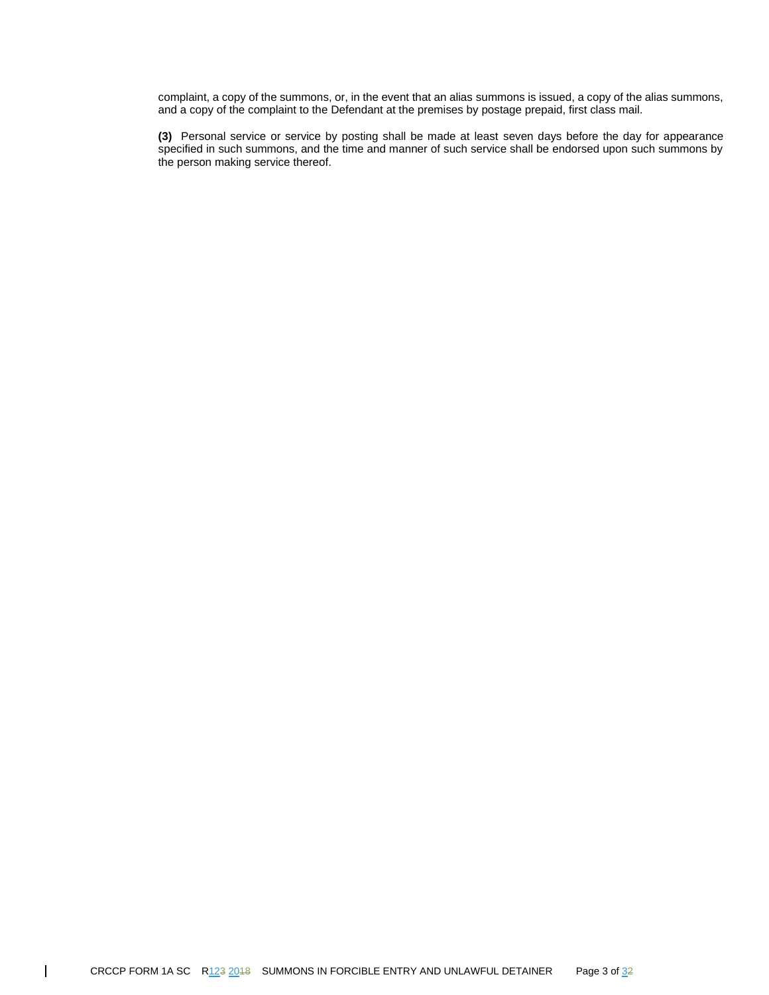complaint, a copy of the summons, or, in the event that an alias summons is issued, a copy of the alias summons, and a copy of the complaint to the Defendant at the premises by postage prepaid, first class mail.

**(3)** Personal service or service by posting shall be made at least seven days before the day for appearance specified in such summons, and the time and manner of such service shall be endorsed upon such summons by the person making service thereof.

 $\overline{\phantom{a}}$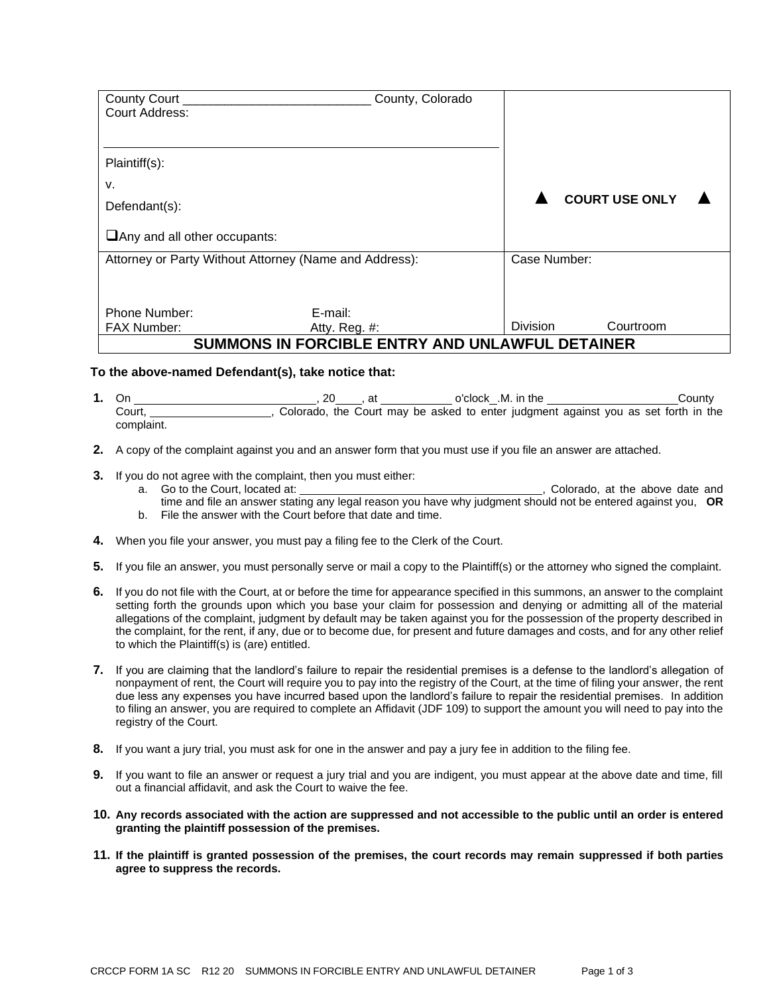| County Court                                           | County, Colorado                                       |              |  |                       |  |
|--------------------------------------------------------|--------------------------------------------------------|--------------|--|-----------------------|--|
| Court Address:                                         |                                                        |              |  |                       |  |
|                                                        |                                                        |              |  |                       |  |
| Plaintiff(s):                                          |                                                        |              |  |                       |  |
| v.                                                     |                                                        |              |  |                       |  |
| Defendant(s):                                          |                                                        |              |  | <b>COURT USE ONLY</b> |  |
| $\Box$ Any and all other occupants:                    |                                                        |              |  |                       |  |
| Attorney or Party Without Attorney (Name and Address): |                                                        | Case Number: |  |                       |  |
|                                                        |                                                        |              |  |                       |  |
| <b>Phone Number:</b>                                   | E-mail:                                                |              |  |                       |  |
| <b>FAX Number:</b>                                     | Atty. Reg. $#$ :                                       | Division     |  | Courtroom             |  |
|                                                        | <b>SUMMONS IN FORCIBLE ENTRY AND UNLAWFUL DETAINER</b> |              |  |                       |  |

#### **To the above-named Defendant(s), take notice that:**

- **1.** On , 20 , at o'clock .M. in the County Court, Scolorado, the Court may be asked to enter judgment against you as set forth in the complaint.
- **2.** A copy of the complaint against you and an answer form that you must use if you file an answer are attached.
- **3.** If you do not agree with the complaint, then you must either:<br>a. Go to the Court, located at:
	- ..., Colorado, at the above date and time and file an answer stating any legal reason you have why judgment should not be entered against you, **OR**
		- b. File the answer with the Court before that date and time.
- **4.** When you file your answer, you must pay a filing fee to the Clerk of the Court.
- **5.** If you file an answer, you must personally serve or mail a copy to the Plaintiff(s) or the attorney who signed the complaint.
- **6.** If you do not file with the Court, at or before the time for appearance specified in this summons, an answer to the complaint setting forth the grounds upon which you base your claim for possession and denying or admitting all of the material allegations of the complaint, judgment by default may be taken against you for the possession of the property described in the complaint, for the rent, if any, due or to become due, for present and future damages and costs, and for any other relief to which the Plaintiff(s) is (are) entitled.
- **7.** If you are claiming that the landlord's failure to repair the residential premises is a defense to the landlord's allegation of nonpayment of rent, the Court will require you to pay into the registry of the Court, at the time of filing your answer, the rent due less any expenses you have incurred based upon the landlord's failure to repair the residential premises. In addition to filing an answer, you are required to complete an Affidavit (JDF 109) to support the amount you will need to pay into the registry of the Court.
- **8.** If you want a jury trial, you must ask for one in the answer and pay a jury fee in addition to the filing fee.
- **9.** If you want to file an answer or request a jury trial and you are indigent, you must appear at the above date and time, fill out a financial affidavit, and ask the Court to waive the fee.
- **10. Any records associated with the action are suppressed and not accessible to the public until an order is entered granting the plaintiff possession of the premises.**
- **11. If the plaintiff is granted possession of the premises, the court records may remain suppressed if both parties agree to suppress the records.**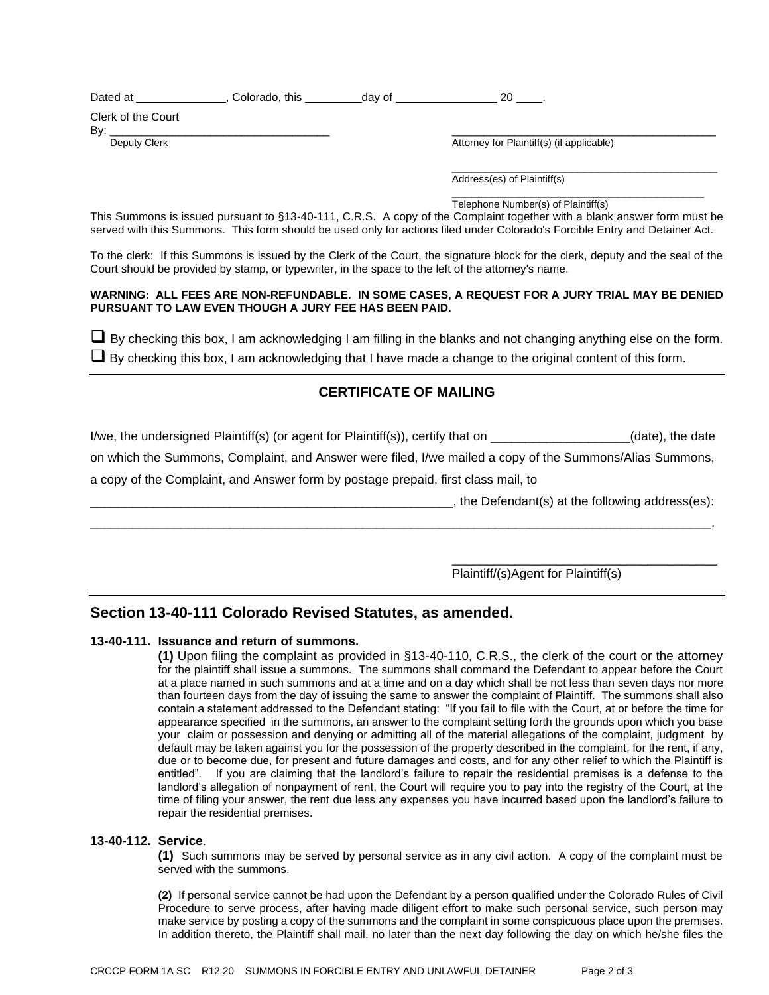| Dated at | Colorado, this | dav of |  |  |  |
|----------|----------------|--------|--|--|--|
|----------|----------------|--------|--|--|--|

Clerk of the Court

By: \_\_\_\_\_\_\_\_\_\_\_\_\_\_\_\_\_\_\_\_\_\_\_\_\_\_\_\_\_\_\_\_\_\_\_ \_\_\_\_\_\_\_\_\_\_\_\_\_\_\_\_\_\_\_\_\_\_\_\_\_\_\_\_\_\_\_\_\_\_\_\_\_\_\_\_\_\_

Deputy Clerk **Deputy Clerk** Attorney for Plaintiff(s) (if applicable)

\_\_\_\_\_\_\_\_\_\_\_\_\_\_\_\_\_\_\_\_\_\_\_\_\_\_\_\_\_\_\_\_\_\_\_\_\_\_\_\_ Address(es) of Plaintiff(s)

\_\_\_\_\_\_\_\_\_\_\_\_\_\_\_\_\_\_\_\_\_\_\_\_\_\_\_\_\_\_\_\_\_\_\_\_\_\_ Telephone Number(s) of Plaintiff(s)

This Summons is issued pursuant to §13-40-111, C.R.S. A copy of the Complaint together with a blank answer form must be served with this Summons. This form should be used only for actions filed under Colorado's Forcible Entry and Detainer Act.

To the clerk: If this Summons is issued by the Clerk of the Court, the signature block for the clerk, deputy and the seal of the Court should be provided by stamp, or typewriter, in the space to the left of the attorney's name.

#### **WARNING: ALL FEES ARE NON-REFUNDABLE. IN SOME CASES, A REQUEST FOR A JURY TRIAL MAY BE DENIED PURSUANT TO LAW EVEN THOUGH A JURY FEE HAS BEEN PAID.**

 $\Box$  By checking this box, I am acknowledging I am filling in the blanks and not changing anything else on the form.  $\Box$  By checking this box, I am acknowledging that I have made a change to the original content of this form.

# **CERTIFICATE OF MAILING**

I/we, the undersigned Plaintiff(s) (or agent for Plaintiff(s)), certify that on \_\_\_\_\_\_\_\_\_\_\_\_\_\_\_\_\_\_\_\_(date), the date

on which the Summons, Complaint, and Answer were filed, I/we mailed a copy of the Summons/Alias Summons,

\_\_\_\_\_\_\_\_\_\_\_\_\_\_\_\_\_\_\_\_\_\_\_\_\_\_\_\_\_\_\_\_\_\_\_\_\_\_\_\_\_\_\_\_\_\_\_\_\_\_\_\_\_\_\_\_\_\_\_\_\_\_\_\_\_\_\_\_\_\_\_\_\_\_\_\_\_\_\_\_\_\_\_\_\_\_\_\_\_.

a copy of the Complaint, and Answer form by postage prepaid, first class mail, to

\_\_\_\_\_\_\_\_\_\_\_\_\_\_\_\_\_\_\_\_\_\_\_\_\_\_\_\_\_\_\_\_\_\_\_\_\_\_\_\_\_\_\_\_\_\_\_\_\_\_\_\_, the Defendant(s) at the following address(es):

\_\_\_\_\_\_\_\_\_\_\_\_\_\_\_\_\_\_\_\_\_\_\_\_\_\_\_\_\_\_\_\_\_\_\_\_\_\_

Plaintiff/(s)Agent for Plaintiff(s)

# **Section 13-40-111 Colorado Revised Statutes, as amended.**

## **13-40-111. Issuance and return of summons.**

**(1)** Upon filing the complaint as provided in §13-40-110, C.R.S., the clerk of the court or the attorney for the plaintiff shall issue a summons. The summons shall command the Defendant to appear before the Court at a place named in such summons and at a time and on a day which shall be not less than seven days nor more than fourteen days from the day of issuing the same to answer the complaint of Plaintiff. The summons shall also contain a statement addressed to the Defendant stating: "If you fail to file with the Court, at or before the time for appearance specified in the summons, an answer to the complaint setting forth the grounds upon which you base your claim or possession and denying or admitting all of the material allegations of the complaint, judgment by default may be taken against you for the possession of the property described in the complaint, for the rent, if any, due or to become due, for present and future damages and costs, and for any other relief to which the Plaintiff is entitled". If you are claiming that the landlord's failure to repair the residential premises is a defense to the landlord's allegation of nonpayment of rent, the Court will require you to pay into the registry of the Court, at the time of filing your answer, the rent due less any expenses you have incurred based upon the landlord's failure to repair the residential premises.

## **13-40-112. Service**.

**(1)** Such summons may be served by personal service as in any civil action. A copy of the complaint must be served with the summons.

**(2)** If personal service cannot be had upon the Defendant by a person qualified under the Colorado Rules of Civil Procedure to serve process, after having made diligent effort to make such personal service, such person may make service by posting a copy of the summons and the complaint in some conspicuous place upon the premises. In addition thereto, the Plaintiff shall mail, no later than the next day following the day on which he/she files the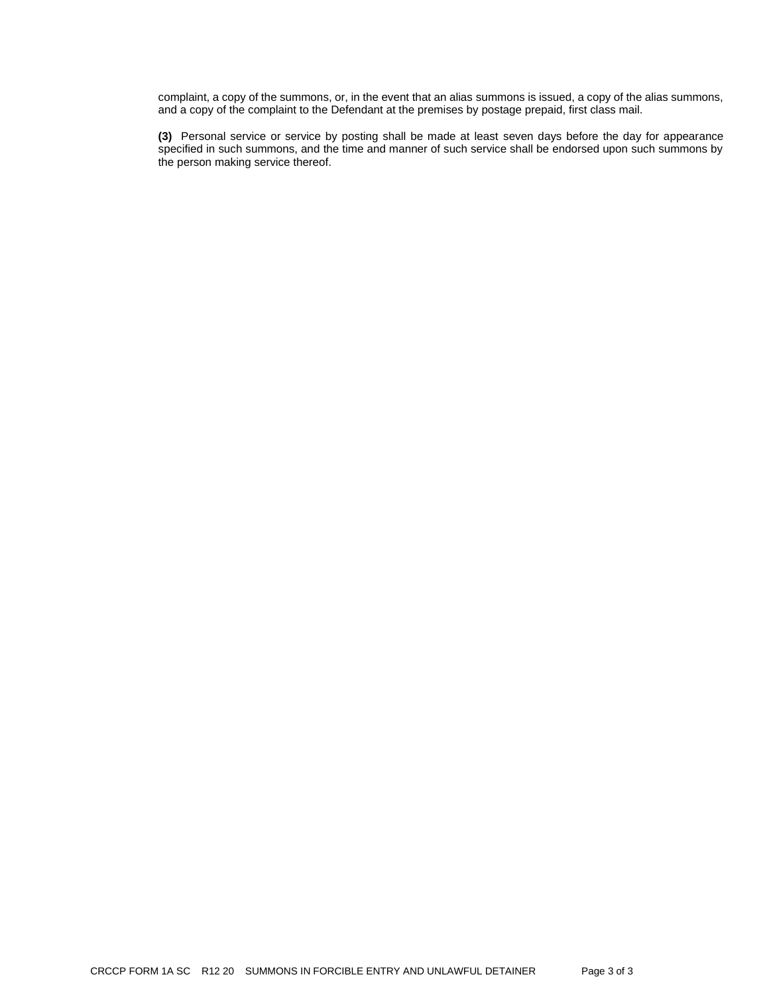complaint, a copy of the summons, or, in the event that an alias summons is issued, a copy of the alias summons, and a copy of the complaint to the Defendant at the premises by postage prepaid, first class mail.

**(3)** Personal service or service by posting shall be made at least seven days before the day for appearance specified in such summons, and the time and manner of such service shall be endorsed upon such summons by the person making service thereof.